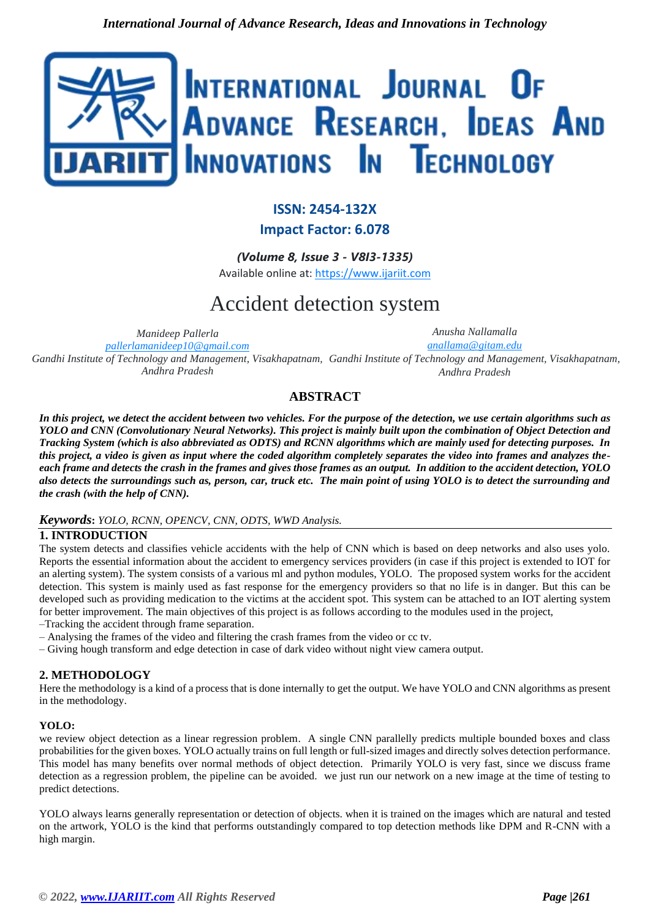

# **ISSN: 2454-132X Impact Factor: 6.078**

*(Volume 8, Issue 3 - V8I3-1335)* Available online at: [https://www.ijariit.com](https://www.ijariit.com/?utm_source=pdf&utm_medium=edition&utm_campaign=OmAkSols&utm_term=V8I3-1335)

# Accident detection system

*Manideep Pallerla [pallerlamanideep10@gmail.com](mailto:pallerlamanideep10@gmail.com)*

*Anusha Nallamalla [anallama@gitam.edu](mailto:anallama@gitam.edu)*

Gandhi Institute of Technology and Management, Visakhapatnam, Gandhi Institute of Technology and Management, Visakhapatnam, *Andhra Pradesh Andhra Pradesh*

# **ABSTRACT**

*In this project, we detect the accident between two vehicles. For the purpose of the detection, we use certain algorithms such as YOLO and CNN (Convolutionary Neural Networks). This project is mainly built upon the combination of Object Detection and Tracking System (which is also abbreviated as ODTS) and RCNN algorithms which are mainly used for detecting purposes. In this project, a video is given as input where the coded algorithm completely separates the video into frames and analyzes theeach frame and detects the crash in the frames and gives those frames as an output. In addition to the accident detection, YOLO also detects the surroundings such as, person, car, truck etc. The main point of using YOLO is to detect the surrounding and the crash (with the help of CNN).*

#### *Keywords***:** *YOLO, RCNN, OPENCV, CNN, ODTS, WWD Analysis.*

# **1. INTRODUCTION**

The system detects and classifies vehicle accidents with the help of CNN which is based on deep networks and also uses yolo. Reports the essential information about the accident to emergency services providers (in case if this project is extended to IOT for an alerting system). The system consists of a various ml and python modules, YOLO. The proposed system works for the accident detection. This system is mainly used as fast response for the emergency providers so that no life is in danger. But this can be developed such as providing medication to the victims at the accident spot. This system can be attached to an IOT alerting system for better improvement. The main objectives of this project is as follows according to the modules used in the project, –Tracking the accident through frame separation.

- Analysing the frames of the video and filtering the crash frames from the video or cc tv.
- Giving hough transform and edge detection in case of dark video without night view camera output.

#### **2. METHODOLOGY**

Here the methodology is a kind of a process that is done internally to get the output. We have YOLO and CNN algorithms as present in the methodology.

#### **YOLO:**

we review object detection as a linear regression problem. A single CNN parallelly predicts multiple bounded boxes and class probabilities for the given boxes. YOLO actually trains on full length or full-sized images and directly solves detection performance. This model has many benefits over normal methods of object detection. Primarily YOLO is very fast, since we discuss frame detection as a regression problem, the pipeline can be avoided. we just run our network on a new image at the time of testing to predict detections.

YOLO always learns generally representation or detection of objects. when it is trained on the images which are natural and tested on the artwork, YOLO is the kind that performs outstandingly compared to top detection methods like DPM and R-CNN with a high margin.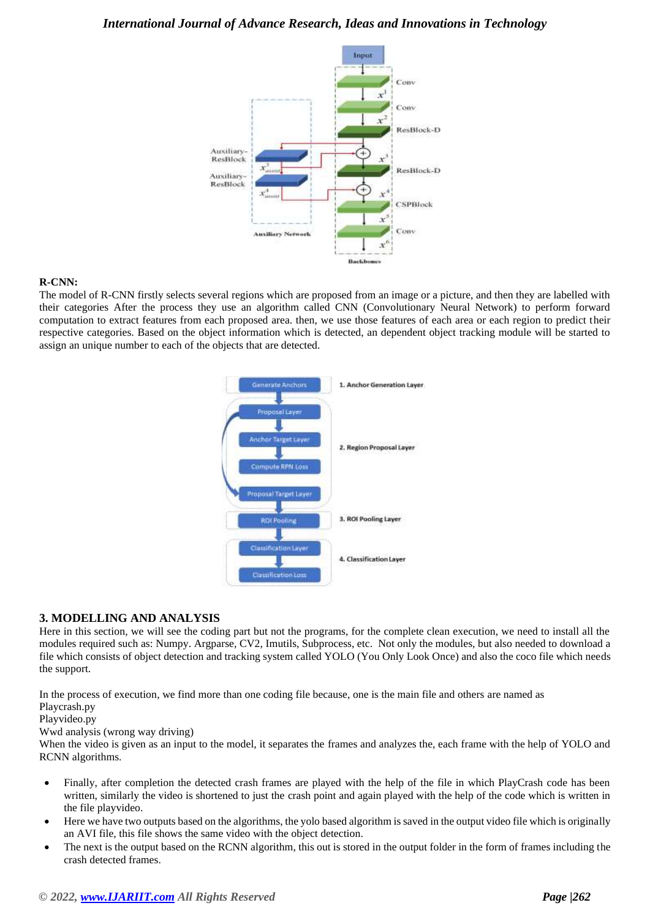

#### **R-CNN:**

The model of R-CNN firstly selects several regions which are proposed from an image or a picture, and then they are labelled with their categories After the process they use an algorithm called CNN (Convolutionary Neural Network) to perform forward computation to extract features from each proposed area. then, we use those features of each area or each region to predict their respective categories. Based on the object information which is detected, an dependent object tracking module will be started to assign an unique number to each of the objects that are detected.

| <b>Generate Anchors</b>                   | 1. Anchor Generation Layer |
|-------------------------------------------|----------------------------|
| Proposal Layer                            |                            |
| Anchor Target Layer                       | 2. Region Proposal Layer   |
| Compute RPN Loss<br>Proposal Target Layer |                            |
| <b>ROI Pooling</b>                        | 3. ROI Pooling Layer       |
| <b>Classification Layer</b>               | 4. Classification Layer    |
| <b>Classification Loss</b>                |                            |

#### **3. MODELLING AND ANALYSIS**

Here in this section, we will see the coding part but not the programs, for the complete clean execution, we need to install all the modules required such as: Numpy. Argparse, CV2, Imutils, Subprocess, etc. Not only the modules, but also needed to download a file which consists of object detection and tracking system called YOLO (You Only Look Once) and also the coco file which needs the support.

In the process of execution, we find more than one coding file because, one is the main file and others are named as

Playcrash.py

Playvideo.py

Wwd analysis (wrong way driving)

When the video is given as an input to the model, it separates the frames and analyzes the, each frame with the help of YOLO and RCNN algorithms.

- Finally, after completion the detected crash frames are played with the help of the file in which PlayCrash code has been written, similarly the video is shortened to just the crash point and again played with the help of the code which is written in the file playvideo.
- Here we have two outputs based on the algorithms, the yolo based algorithm is saved in the output video file which is originally an AVI file, this file shows the same video with the object detection.
- The next is the output based on the RCNN algorithm, this out is stored in the output folder in the form of frames including the crash detected frames.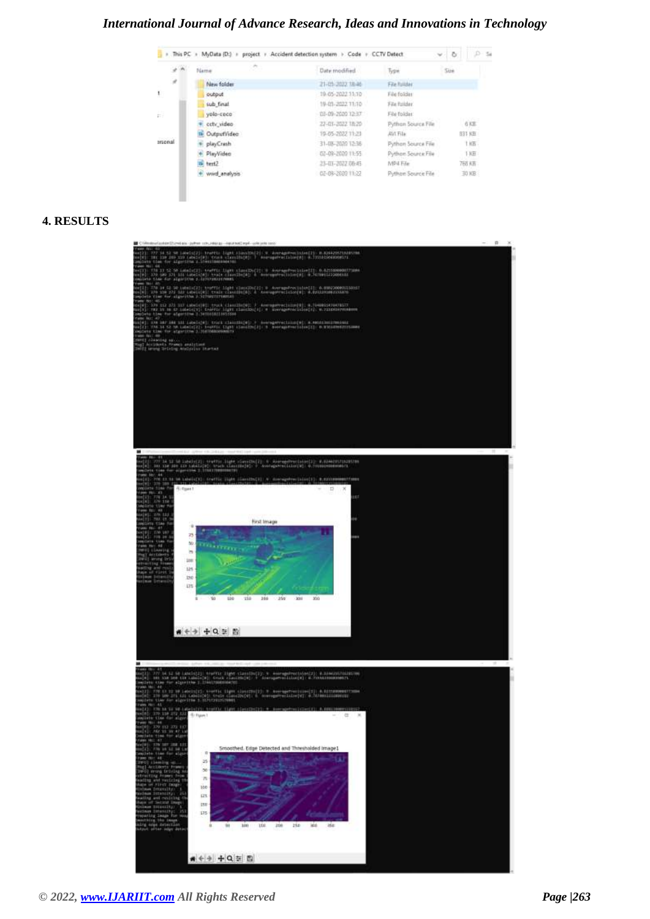# *International Journal of Advance Research, Ideas and Innovations in Technology*

| This PC +<br>$\mathbf{r}$ |                | MyData (D:) > project > Accident detection system > Code + CCTV Detect |                    | CV.    | D-1 5 |
|---------------------------|----------------|------------------------------------------------------------------------|--------------------|--------|-------|
| $\sigma$ $\sim$           | オー<br>Name:    | Date modified                                                          | Type               | Sizie  |       |
| ×                         | New folder     | 21-05-2022 18:46                                                       | File Tuilder       |        |       |
| t.                        | eutput         | 19-05-2022 11:10                                                       | File folder        |        |       |
|                           | sub final      | 19-01-2022 11:10                                                       | File Friday.       |        |       |
| E.                        | yolo-coco      | 128-09-2020 12:37                                                      | File Folder        |        |       |
|                           | cety video     | 22-03-2022 18:20                                                       | Python Source File | 658    |       |
|                           | OutputVideo    | 19-05-2022 11:21                                                       | <b>AVT File</b>    | 833 KB |       |
| arsonal                   | playCrash      | 31-08-2020 12:36                                                       | Python Source File | 1 KB - |       |
|                           | PlayVideo<br>× | 02-09-2020 11:55                                                       | Python Source File | 1 KE   |       |
|                           | la test2       | 23-03-2022 08:45                                                       | MP4 File           | 765 KB |       |
|                           | wwd.analysis   | 02-09-2020 11:22                                                       | Python Source File | 30 KB  |       |

#### **4. RESULTS**